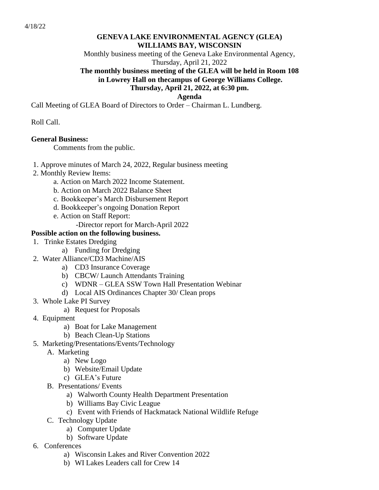# **GENEVA LAKE ENVIRONMENTAL AGENCY (GLEA) WILLIAMS BAY, WISCONSIN**

Monthly business meeting of the Geneva Lake Environmental Agency, Thursday, April 21, 2022

## **The monthly business meeting of the GLEA will be held in Room 108 in Lowrey Hall on thecampus of George Williams College. Thursday, April 21, 2022, at 6:30 pm.**

**Agenda**

Call Meeting of GLEA Board of Directors to Order – Chairman L. Lundberg.

### Roll Call.

#### **General Business:**

Comments from the public.

- 1. Approve minutes of March 24, 2022, Regular business meeting
- 2. Monthly Review Items:
	- a. Action on March 2022 Income Statement.
	- b. Action on March 2022 Balance Sheet
	- c. Bookkeeper's March Disbursement Report
	- d. Bookkeeper's ongoing Donation Report
	- e. Action on Staff Report:
		- -Director report for March-April 2022

#### **Possible action on the following business.**

- 1. Trinke Estates Dredging
	- a) Funding for Dredging
- 2. Water Alliance/CD3 Machine/AIS
	- a) CD3 Insurance Coverage
	- b) CBCW/ Launch Attendants Training
	- c) WDNR GLEA SSW Town Hall Presentation Webinar
	- d) Local AIS Ordinances Chapter 30/ Clean props
- 3. Whole Lake PI Survey
	- a) Request for Proposals
- 4. Equipment
	- a) Boat for Lake Management
	- b) Beach Clean-Up Stations
- 5. Marketing/Presentations/Events/Technology
	- A. Marketing
		- a) New Logo
		- b) Website/Email Update
		- c) GLEA's Future
	- B. Presentations/ Events
		- a) Walworth County Health Department Presentation
		- b) Williams Bay Civic League
		- c) Event with Friends of Hackmatack National Wildlife Refuge
	- C. Technology Update
		- a) Computer Update
		- b) Software Update
- 6. Conferences
	- a) Wisconsin Lakes and River Convention 2022
	- b) WI Lakes Leaders call for Crew 14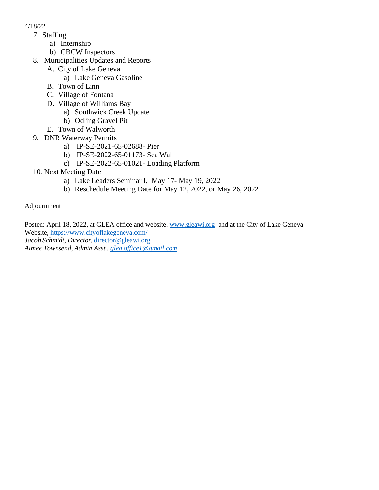- 4/18/22
	- 7. Staffing
		- a) Internship
		- b) CBCW Inspectors
	- 8. Municipalities Updates and Reports
		- A. City of Lake Geneva
			- a) Lake Geneva Gasoline
		- B. Town of Linn
		- C. Village of Fontana
		- D. Village of Williams Bay
			- a) Southwick Creek Update
			- b) Odling Gravel Pit
		- E. Town of Walworth
	- 9. DNR Waterway Permits
		- a) IP-SE-2021-65-02688- Pier
		- b) IP-SE-2022-65-01173- Sea Wall
		- c) IP-SE-2022-65-01021- Loading Platform
	- 10. Next Meeting Date
		- a) Lake Leaders Seminar I, May 17- May 19, 2022
		- b) Reschedule Meeting Date for May 12, 2022, or May 26, 2022

Adjournment

Posted: April 18, 2022, at GLEA office and website. [www.gleawi.org](http://www.gleawi.org/) and at the City of Lake Geneva Website, <https://www.cityoflakegeneva.com/> *Jacob Schmidt, Director,* [director@gleawi.org](mailto:director@gleawi.org) *Aimee Townsend, Admin Asst., [glea.office1@gmail.com](mailto:glea.office1@gmail.com)*